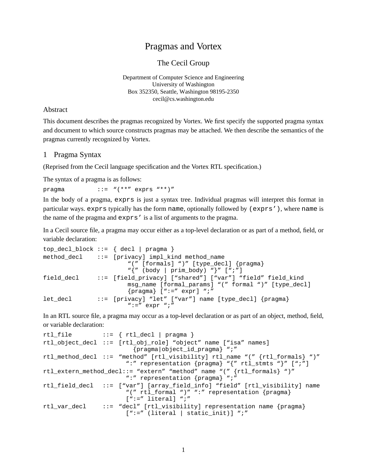# Pragmas and Vortex

The Cecil Group

Department of Computer Science and Engineering University of Washington Box 352350, Seattle, Washington 98195-2350 cecil@cs.washington.edu

#### Abstract

This document describes the pragmas recognized by Vortex. We first specify the supported pragma syntax and document to which source constructs pragmas may be attached. We then describe the semantics of the pragmas currently recognized by Vortex.

#### 1 Pragma Syntax

(Reprised from the Cecil language specification and the Vortex RTL specification.)

The syntax of a pragma is as follows:

pragma  $::=$  " $(**"$  exprs "\*\*)"

In the body of a pragma, exprs is just a syntax tree. Individual pragmas will interpret this format in particular ways. exprs typically has the form name, optionally followed by (exprs'), where name is the name of the pragma and exprs' is a list of arguments to the pragma.

In a Cecil source file, a pragma may occur either as a top-level declaration or as part of a method, field, or variable declaration:

```
top_decl_block ::= { decl | pragma }
method_decl ::= [privacy] impl_kind method_name
                       "(" [formals] ")" [type_decl] {pragma}
                       "{" (body | prim_body) "}" [";"]
field_decl ::= [field_privacy] ["shared"] ["var"] "field" field_kind
                       msg_name [formal_params] "(" formal ")" [type_decl]
                       {pragma} [":=" expr] ";"
let_decl ::= [privacy] "let" ["var"] name [type_decl] {pragma}
                       " :=" \text{expr} ";"
```
In an RTL source file, a pragma may occur as a top-level declaration or as part of an object, method, field, or variable declaration:

```
rtl_file ::= { rtl_decl | pragma }
rtl_object_decl ::= [rtl_obj_role] "object" name ["isa" names]
                        {pragma|object_id_pragma} ";"
rtl_method_decl ::= "method" [rtl_visibility] rtl_name "(" {rtl_formals} ")"
                      ":" representation {pragma} "{" rtl_stmts "}" [";"]
rtl_extern_method_decl::= "extern" "method" name "(" {rtl_formals} ")"
                      ":" representation {pragma} ";"
rtl_field_decl ::= ["var"] [array_field_info] "field" [rtl_visibility] name
                      "(" rtl_formal ")" ":" representation {pragma}
                      [':=" literal] ";"
rtl_var_decl ::= "decl" [rtl_visibility] representation name {pragma}
                      [":=" (literal | static_init)] ";"
```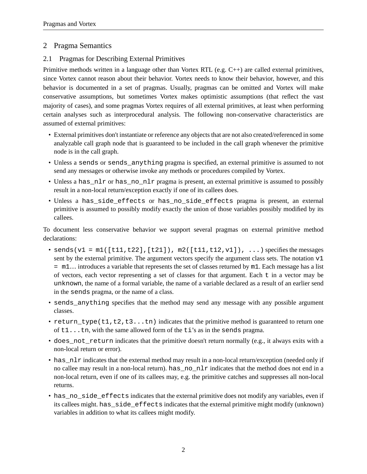## 2 Pragma Semantics

### 2.1 Pragmas for Describing External Primitives

Primitive methods written in a language other than Vortex RTL (e.g. C++) are called external primitives, since Vortex cannot reason about their behavior. Vortex needs to know their behavior, however, and this behavior is documented in a set of pragmas. Usually, pragmas can be omitted and Vortex will make conservative assumptions, but sometimes Vortex makes optimistic assumptions (that reflect the vast majority of cases), and some pragmas Vortex requires of all external primitives, at least when performing certain analyses such as interprocedural analysis. The following non-conservative characteristics are assumed of external primitives:

- External primitives don't instantiate or reference any objects that are not also created/referenced in some analyzable call graph node that is guaranteed to be included in the call graph whenever the primitive node is in the call graph.
- Unless a sends or sends\_anything pragma is specified, an external primitive is assumed to not send any messages or otherwise invoke any methods or procedures compiled by Vortex.
- Unless a has\_nlr or has\_no\_nlr pragma is present, an external primitive is assumed to possibly result in a non-local return/exception exactly if one of its callees does.
- Unless a has\_side\_effects or has\_no\_side\_effects pragma is present, an external primitive is assumed to possibly modify exactly the union of those variables possibly modified by its callees.

To document less conservative behavior we support several pragmas on external primitive method declarations:

- sends( $v1 = ml([t11, t22], [t21])$ ,  $m2([t11, t12, v1])$ , ...) specifies the messages sent by the external primitive. The argument vectors specify the argument class sets. The notation  $v1$ = m1… introduces a variable that represents the set of classes returned by m1. Each message has a list of vectors, each vector representing a set of classes for that argument. Each t in a vector may be unknown, the name of a formal variable, the name of a variable declared as a result of an earlier send in the sends pragma, or the name of a class.
- sends\_anything specifies that the method may send any message with any possible argument classes.
- return\_type(t1,t2,t3...tn) indicates that the primitive method is guaranteed to return one of t1...tn, with the same allowed form of the ti's as in the sends pragma.
- does\_not\_return indicates that the primitive doesn't return normally (e.g., it always exits with a non-local return or error).
- has not indicate that the external method may result in a non-local return/exception (needed only if no callee may result in a non-local return). has no negatively indicates that the method does not end in a non-local return, even if one of its callees may, e.g. the primitive catches and suppresses all non-local returns.
- has\_no\_side\_effects indicates that the external primitive does not modify any variables, even if its callees might. has\_side\_effects indicates that the external primitive might modify (unknown) variables in addition to what its callees might modify.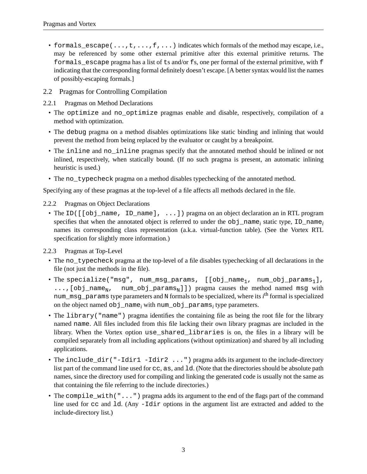- formals\_escape( $\dots, t, \dots, f, \dots$ ) indicates which formals of the method may escape, i.e., may be referenced by some other external primitive after this external primitive returns. The formals\_escape pragma has a list of ts and/or fs, one per formal of the external primitive, with f indicating that the corresponding formal definitely doesn't escape. [A better syntax would list the names of possibly-escaping formals.]
- 2.2 Pragmas for Controlling Compilation
- 2.2.1 Pragmas on Method Declarations
	- The optimize and no\_optimize pragmas enable and disable, respectively, compilation of a method with optimization.
	- The debug pragma on a method disables optimizations like static binding and inlining that would prevent the method from being replaced by the evaluator or caught by a breakpoint.
	- The inline and no\_inline pragmas specify that the annotated method should be inlined or not inlined, respectively, when statically bound. (If no such pragma is present, an automatic inlining heuristic is used.)
	- The no\_typecheck pragma on a method disables typechecking of the annotated method.

Specifying any of these pragmas at the top-level of a file affects all methods declared in the file.

- 2.2.2 Pragmas on Object Declarations
	- The ID( $[$ [obj\_name, ID\_name], ...]) pragma on an object declaration an in RTL program specifies that when the annotated object is referred to under the obj\_name*<sup>i</sup>* static type, ID\_name*<sup>i</sup>* names its corresponding class representation (a.k.a. virtual-function table). (See the Vortex RTL specification for slightly more information.)

2.2.3 Pragmas at Top-Level

- The no typecheck pragma at the top-level of a file disables typechecking of all declarations in the file (not just the methods in the file).
- The specialize("msg", num\_msg\_params,  $[$ [obj\_name<sub>1</sub>, num\_obj\_params<sub>1</sub>], ..., [obj\_name<sub>N</sub>, num\_obj\_params<sub>N</sub>]]) pragma causes the method named msg with num\_msg\_params type parameters and N formals to be specialized, where its *i*<sup>th</sup> formal is specialized on the object named obj\_name*<sup>i</sup>* with num\_obj\_params*<sup>i</sup>* type parameters.
- The library("name") pragma identifies the containing file as being the root file for the library named name. All files included from this file lacking their own library pragmas are included in the library. When the Vortex option use\_shared\_libraries is on, the files in a library will be compiled separately from all including applications (without optimization) and shared by all including applications.
- The include\_dir("-Idir1 -Idir2 ...") pragma adds its argument to the include-directory list part of the command line used for cc, as, and 1d. (Note that the directories should be absolute path names, since the directory used for compiling and linking the generated code is usually not the same as that containing the file referring to the include directories.)
- The compile\_with("...") pragma adds its argument to the end of the flags part of the command line used for cc and 1d. (Any  $-Ldir$  options in the argument list are extracted and added to the include-directory list.)